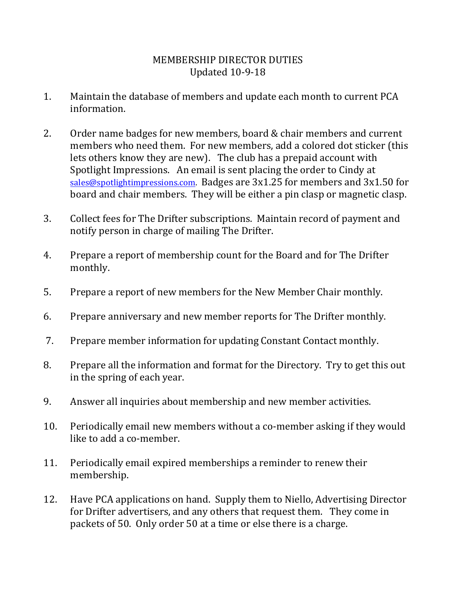## MEMBERSHIP DIRECTOR DUTIES Updated 10-9-18

- 1. Maintain the database of members and update each month to current PCA information.
- 2. Order name badges for new members, board & chair members and current members who need them. For new members, add a colored dot sticker (this lets others know they are new). The club has a prepaid account with Spotlight Impressions. An email is sent placing the order to Cindy at [sales@spotlightimpressions.com.](mailto:sales@spotlightimpressions.com) Badges are 3x1.25 for members and 3x1.50 for board and chair members. They will be either a pin clasp or magnetic clasp.
- 3. Collect fees for The Drifter subscriptions. Maintain record of payment and notify person in charge of mailing The Drifter.
- 4. Prepare a report of membership count for the Board and for The Drifter monthly.
- 5. Prepare a report of new members for the New Member Chair monthly.
- 6. Prepare anniversary and new member reports for The Drifter monthly.
- 7. Prepare member information for updating Constant Contact monthly.
- 8. Prepare all the information and format for the Directory. Try to get this out in the spring of each year.
- 9. Answer all inquiries about membership and new member activities.
- 10. Periodically email new members without a co-member asking if they would like to add a co-member.
- 11. Periodically email expired memberships a reminder to renew their membership.
- 12. Have PCA applications on hand. Supply them to Niello, Advertising Director for Drifter advertisers, and any others that request them. They come in packets of 50. Only order 50 at a time or else there is a charge.